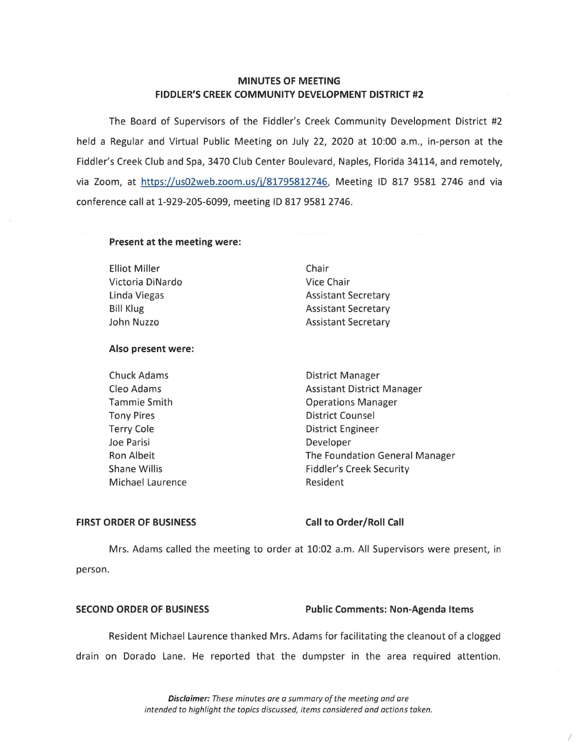# **MINUTES OF MEETING FIDDLER'S CREEK COMMUNITY DEVELOPMENT DISTRICT #2**

The Board of Supervisors of the Fiddler's Creek Community Development District #2 held a Regular and Virtual Public Meeting on July 22, 2020 at 10:00 a.m., in-person at the Fiddler's Creek Club and Spa, 3470 Club Center Boulevard, Naples, Florida 34114, and remotely, via Zoom, at https://us02web.zoom.us/j/81795812746, Meeting ID 817 9581 2746 and via conference call at 1-929-205-6099, meeting ID 817 95812746.

### **Present at the meeting were:**

**Elliot Miller** Victoria DiNardo Linda Viegas Bill Klug John Nuzzo

Chair Vice Chair Assistant Secretary Assistant Secretary Assistant Secretary

### **Also present were:**

Chuck Adams Cleo Adams Tammie Smith Tony Pires Terry Cole Joe Parisi Ron Albeit Shane Willis Michael Laurence District Manager Assistant District Manager Operations Manager District Counsel District Engineer Developer The Foundation General Manager Fiddler's Creek Security Resident

### **FIRST ORDER OF BUSINESS Call to Order/Roll Call**

Mrs. Adams called the meeting to order at 10:02 a.m. All Supervisors were present, in person.

### **SECOND ORDER OF BUSINESS Public Comments: Non-Agenda Items**

*I* 

Resident Michael Laurence thanked Mrs. Adams for facilitating the cleanout of a clogged drain on Dorado Lane. He reported that the dumpster in the area required attention.

> **Disclaimer:** *These minutes are a summary of the meeting and are intended to highlight the topics discussed, items considered and actions taken.*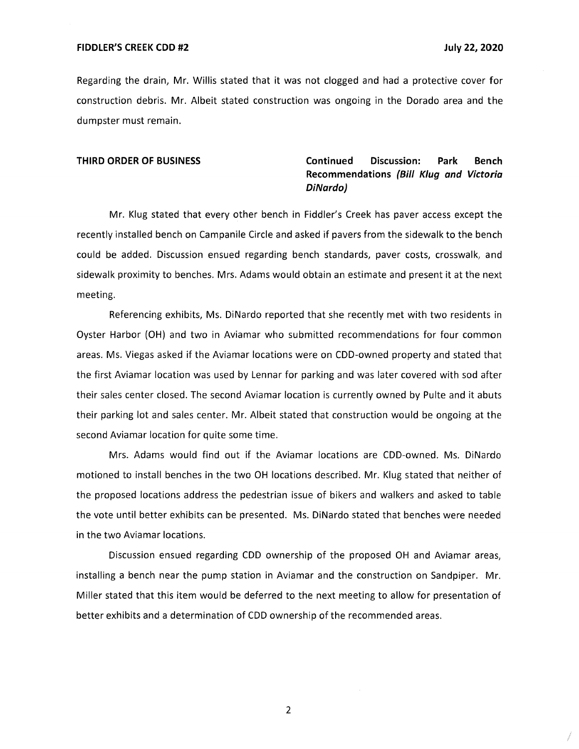### **FIDDLER'S CREEK COD #2 July 22, 2020**

Regarding the drain, Mr. Willis stated that it was not clogged and had a protective cover for construction debris. Mr. Albeit stated construction was ongoing in the Dorado area and the dumpster must remain.

# **THIRD ORDER OF BUSINESS Continued Discussion: Park Bench Recommendations (Bill Klug and Victoria DiNardo)**

Mr. Klug stated that every other bench in Fiddler's Creek has paver access except the recently installed bench on Campanile Circle and asked if pavers from the sidewalk to the bench could be added. Discussion ensued regarding bench standards, paver costs, crosswalk, and sidewalk proximity to benches. Mrs. Adams would obtain an estimate and present it at the next meeting.

Referencing exhibits, Ms. DiNardo reported that she recently met with two residents in Oyster Harbor (OH) and two in Aviamar who submitted recommendations for four common areas. Ms. Viegas asked if the Aviamar locations were on COD-owned property and stated that the first Aviamar location was used by Lennar for parking and was later covered with sod after their sales center closed. The second Aviamar location is currently owned by Pulte and it abuts their parking lot and sales center. Mr. Albeit stated that construction would be ongoing at the second Aviamar location for quite some time.

Mrs. Adams would find out if the Aviamar locations are COD-owned. Ms. DiNardo motioned to install benches in the two OH locations described. Mr. Klug stated that neither of the proposed locations address the pedestrian issue of bikers and walkers and asked to table the vote until better exhibits can be presented. Ms. DiNardo stated that benches were needed in the two Aviamar locations.

Discussion ensued regarding CDD ownership of the proposed OH and Aviamar areas, installing a bench near the pump station in Aviamar and the construction on Sandpiper. Mr. Miller stated that this item would be deferred to the next meeting to allow for presentation of better exhibits and a determination of CDD ownership of the recommended areas.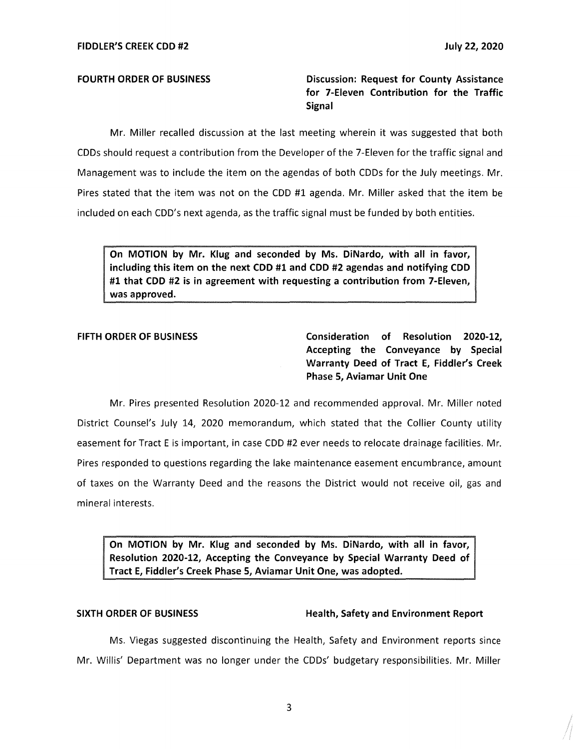**FOURTH ORDER OF BUSINESS** 

**Discussion: Request for County Assistance for 7-Eleven Contribution for the Traffic Signal** 

Mr. Miller recalled discussion at the last meeting wherein it was suggested that both CDDs should request a contribution from the Developer of the 7-Eleven for the traffic signal and Management was to include the item on the agendas of both CDDs for the July meetings. Mr. Pires stated that the item was not on the COD #1 agenda. Mr. Miller asked that the item be included on each CDD's next agenda, as the traffic signal must be funded by both entities.

**On MOTION by Mr. Klug and seconded by Ms. DiNardo, with all in favor, including this item on the next CDD #1 and CDD #2 agendas and notifying CDD #1 that CDD #2 is in agreement with requesting a contribution from 7-Eleven, was approved.** 

**FIFTH ORDER OF BUSINESS Consideration of Resolution 2020-12, Accepting the Conveyance by Special Warranty Deed of Tract E, Fiddler's Creek Phase 5, Aviamar Unit One** 

Mr. Pires presented Resolution 2020-12 and recommended approval. Mr. Miller noted District Counsel's July 14, 2020 memorandum, which stated that the Collier County utility easement for Tract Eis important, in case COD #2 ever needs to relocate drainage facilities. Mr. Pires responded to questions regarding the lake maintenance easement encumbrance, amount of taxes on the Warranty Deed and the reasons the District would not receive oil, gas and mineral interests.

**On MOTION by Mr. Klug and seconded by Ms. DiNardo, with all in favor, Resolution 2020-12, Accepting the Conveyance by Special Warranty Deed of Tract E, Fiddler's Creek Phase 5, Aviamar Unit One, was adopted.** 

## SIXTH ORDER OF BUSINESS **Health, Safety and Environment Report**

Ms. Viegas suggested discontinuing the Health, Safety and Environment reports since Mr. Willis' Department was no longer under the CDDs' budgetary responsibilities. Mr. Miller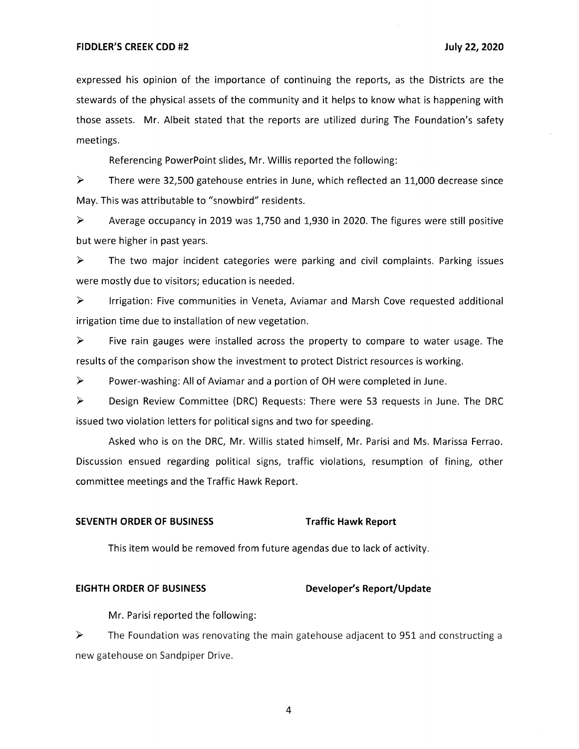expressed his opinion of the importance of continuing the reports, as the Districts are the stewards of the physical assets of the community and it helps to know what is happening with those assets. Mr. Albeit stated that the reports are utilized during The Foundation's safety meetings.

Referencing PowerPoint slides, Mr. Willis reported the following:

 $\triangleright$  There were 32,500 gatehouse entries in June, which reflected an 11,000 decrease since May. This was attributable to "snowbird" residents.

 $\triangleright$  Average occupancy in 2019 was 1,750 and 1,930 in 2020. The figures were still positive but were higher in past years.

► The two major incident categories were parking and civil complaints. Parking issues were mostly due to visitors; education is needed.

► Irrigation: Five communities in Veneta, Aviamar and Marsh Cove requested additional irrigation time due to installation of new vegetation.

► Five rain gauges were installed across the property to compare to water usage. The results of the comparison show the investment to protect District resources is working.

► Power-washing: All of Aviamar and a portion of OH were completed in June.

► Design Review Committee (DRC) Requests: There were 53 requests in June. The DRC issued two violation letters for political signs and two for speeding.

Asked who is on the DRC, Mr. Willis stated himself, Mr. Parisi and Ms. Marissa Ferrao. Discussion ensued regarding political signs, traffic violations, resumption of fining, other committee meetings and the Traffic Hawk Report.

## **SEVENTH ORDER OF BUSINESS Traffic Hawk Report**

This item would be removed from future agendas due to lack of activity.

### EIGHTH ORDER OF BUSINESS **Developer's Report/Update**

Mr. Parisi reported the following:

► The Foundation was renovating the main gatehouse adjacent to 951 and constructing a new gatehouse on Sandpiper Drive.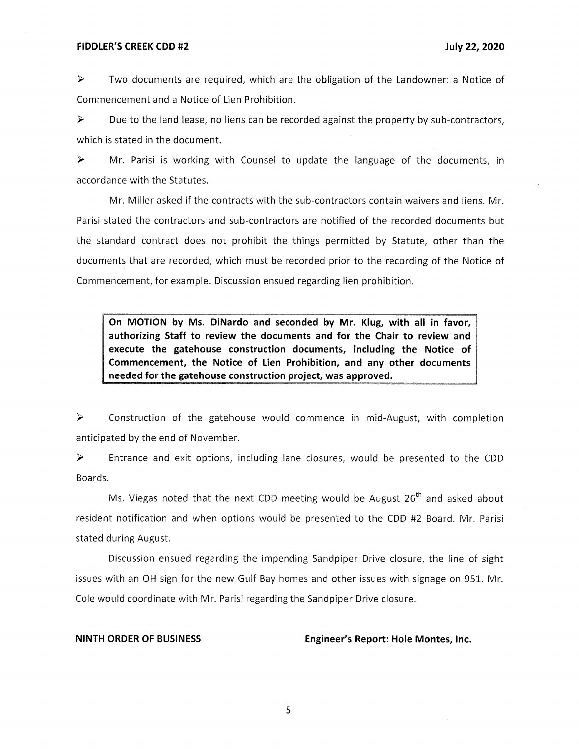### **FIDDLER'S CREEK CDD #2 July 22, 2020**

► Two documents are required, which are the obligation of the Landowner: a Notice of Commencement and a Notice of Lien Prohibition.

► Due to the land lease, no liens can be recorded against the property by sub-contractors, which is stated in the document.

► Mr. Parisi is working with Counsel to update the language of the documents, in accordance with the Statutes.

Mr. Miller asked if the contracts with the sub-contractors contain waivers and liens. Mr. Parisi stated the contractors and sub-contractors are notified of the recorded documents but the standard contract does not prohibit the things permitted by Statute, other than the documents that are recorded, which must be recorded prior to the recording of the Notice of Commencement, for example. Discussion ensued regarding lien prohibition.

**On MOTION by Ms. DiNardo and seconded by Mr. Klug, with all in favor, authorizing Staff to review the documents and for the Chair to review· and execute the gatehouse construction documents, including the Notice of Commencement, the Notice of Lien Prohibition, and any other documents needed for the gatehouse construction project, was approved.** 

► Construction of the gatehouse would commence in mid-August, with completion anticipated by the end of November.

► Entrance and exit options, including lane closures, would be presented to the CDD Boards.

Ms. Viegas noted that the next CDD meeting would be August  $26<sup>th</sup>$  and asked about resident notification and when options would be presented to the CDD #2 Board. Mr. Parisi stated during August.

Discussion ensued regarding the impending Sandpiper Drive closure, the line of sight issues with an OH sign for the new Gulf Bay homes and other issues with signage on 951. Mr. Cole would coordinate with Mr. Parisi regarding the Sandpiper Drive closure.

**NINTH ORDER OF BUSINESS Engineer's Report: Hole Montes, Inc.**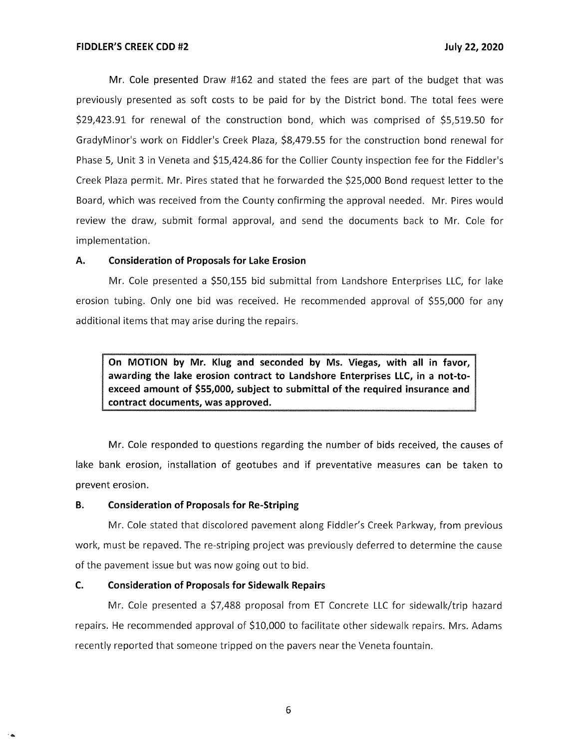Mr. Cole presented Draw #162 and stated the fees are part of the budget that was previously presented as soft costs to be paid for by the District bond. The total fees were \$29,423.91 for renewal of the construction bond, which was comprised of \$5,519.50 for GradyMinor's work on Fiddler's Creek Plaza, \$8,479.55 for the construction bond renewal for Phase 5, Unit 3 in Veneta and \$15,424.86 for the Collier County inspection fee for the Fiddler's Creek Plaza permit. Mr. Pires stated that he forwarded the \$25,000 Bond request letter to the Board, which was received from the County confirming the approval needed. Mr. Pires would review the draw, submit formal approval, and send the documents back to Mr. Cole for implementation.

## **A. Consideration of Proposals for Lake Erosion**

Mr. Cole presented a \$50,155 bid submittal from Landshore Enterprises LLC, for lake erosion tubing. Only one bid was received. He recommended approval of \$55,000 for any additional items that may arise during the repairs.

**On MOTION by Mr. Klug and seconded by Ms. Viegas, with all in favor, awarding the lake erosion contract to Landshore Enterprises LLC, in a not-toexceed amount of \$55,000, subject to submittal of the required insurance and contract documents, was approved.** 

Mr. Cole responded to questions regarding the number of bids received, the causes of lake bank erosion, installation of geotubes and if preventative measures can be taken to prevent erosion.

### **B. Consideration of Proposals for Re-Striping**

Mr. Cole stated that discolored pavement along Fiddler's Creek Parkway, from previous work, must be repaved. The re-striping project was previously deferred to determine the cause of the pavement issue but was now going out to bid.

## **C. Consideration of Proposals for Sidewalk Repairs**

....

Mr. Cole presented a \$7,488 proposal from ET Concrete LLC for sidewalk/trip hazard repairs. He recommended approval of \$10,000 to facilitate other sidewalk repairs. Mrs. Adams recently reported that someone tripped on the pavers near the Veneta fountain.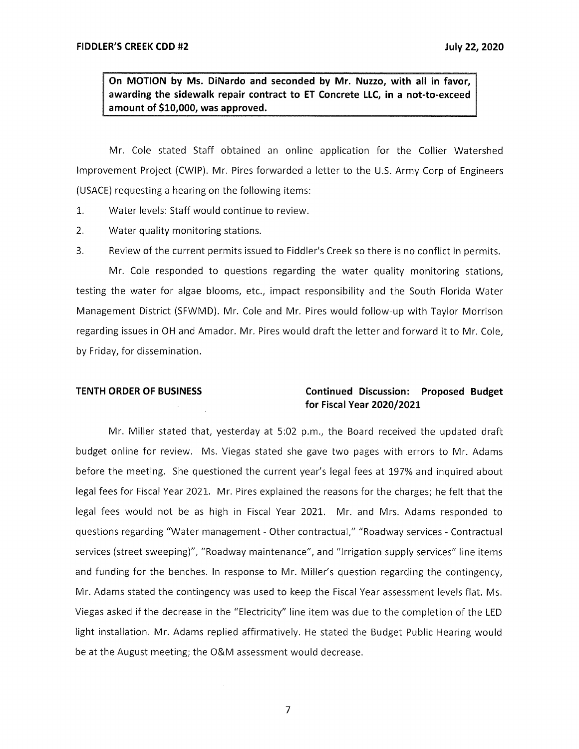**On MOTION by Ms. DiNardo and seconded by Mr. Nuzzo, with all in favor, awarding the sidewalk repair contract to ET Concrete LLC, in a not-to-exceed amount of \$10,000, was approved.** 

Mr. Cole stated Staff obtained an online application for the Collier Watershed Improvement Project (CWIP). Mr. Pires forwarded a letter to the U.S. Army Corp of Engineers (USACE) requesting a hearing on the following items:

- 1. Water levels: Staff would continue to review.
- 2. Water quality monitoring stations.
- 3. Review of the current permits issued to Fiddler's Creek so there is no conflict in permits.

Mr. Cole responded to questions regarding the water quality monitoring stations, testing the water for algae blooms, etc., impact responsibility and the South Florida Water Management District (SFWMD). Mr. Cole and Mr. Pires would follow-up with Taylor Morrison regarding issues in OH and Amador. Mr. Pires would draft the letter and forward it to Mr. Cole, by Friday, for dissemination.

# **TENTH ORDER OF BUSINESS Continued Discussion: Proposed Budget for Fiscal Year 2020/2021**

Mr. Miller stated that, yesterday at 5:02 p.m., the Board received the updated draft budget online for review. Ms. Viegas stated she gave two pages with errors to Mr. Adams before the meeting. She questioned the current year's legal fees at 197% and inquired about legal fees for Fiscal Year 2021. Mr. Pires explained the reasons for the charges; he felt that the legal fees would not be as high in Fiscal Year 2021. Mr. and Mrs. Adams responded to questions regarding "Water management - Other contractual," "Roadway services - Contractual services (street sweeping)", "Roadway maintenance", and "Irrigation supply services" line items and funding for the benches. In response to Mr. Miller's question regarding the contingency, Mr. Adams stated the contingency was used to keep the Fiscal Year assessment levels flat. Ms. Viegas asked if the decrease in the "Electricity" line item was due to the completion of the LED light installation. Mr. Adams replied affirmatively. He stated the Budget Public Hearing would be at the August meeting; the O&M assessment would decrease.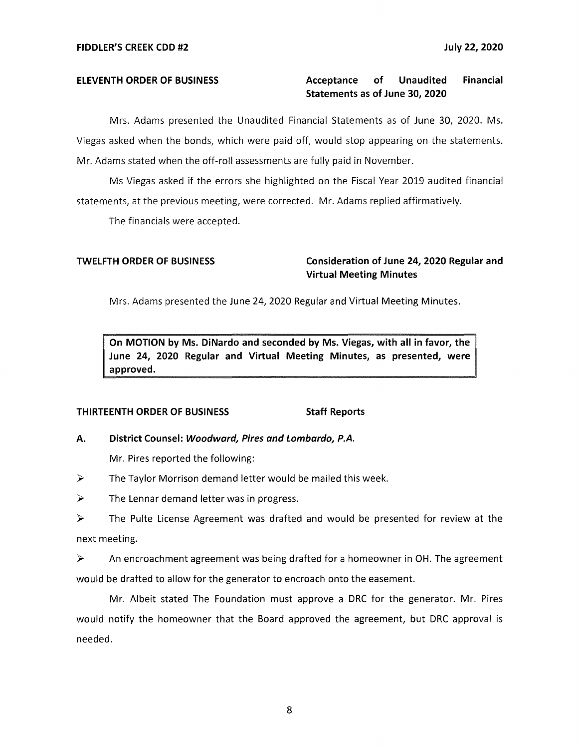# **ELEVENTH ORDER OF BUSINESS Acceptance of Unaudited Financial Statements as of June 30, 2020**

Mrs. Adams presented the Unaudited Financial Statements as of June 30, 2020. Ms. Viegas asked when the bonds, which were paid off, would stop appearing on the statements. Mr. Adams stated when the off-roll assessments are fully paid in November.

Ms Viegas asked if the errors she highlighted on the Fiscal Year 2019 audited financial statements, at the previous meeting, were corrected. Mr. Adams replied affirmatively.

The financials were accepted.

# **TWELFTH ORDER OF BUSINESS Consideration of June 24, 2020 Regular and Virtual Meeting Minutes**

Mrs. Adams presented the June 24, 2020 Regular and Virtual Meeting Minutes.

**On MOTION by Ms. DiNardo and seconded by Ms. Viegas, with all in favor, the June 24, 2020 Regular and Virtual Meeting Minutes, as presented, were approved.** 

## **THIRTEENTH ORDER OF BUSINESS Staff Reports**

## **A. District Counsel: Woodward, Pires and Lombardo, P.A.**

Mr. Pires reported the following:

 $\triangleright$  The Taylor Morrison demand letter would be mailed this week.

 $\triangleright$  The Lennar demand letter was in progress.

► The Pulte License Agreement was drafted and would be presented for review at the next meeting.

► An encroachment agreement was being drafted for a homeowner in OH. The agreement would be drafted to allow for the generator to encroach onto the easement.

Mr. Albeit stated The Foundation must approve a DRC for the generator. Mr. Pires would notify the homeowner that the Board approved the agreement, but DRC approval is needed.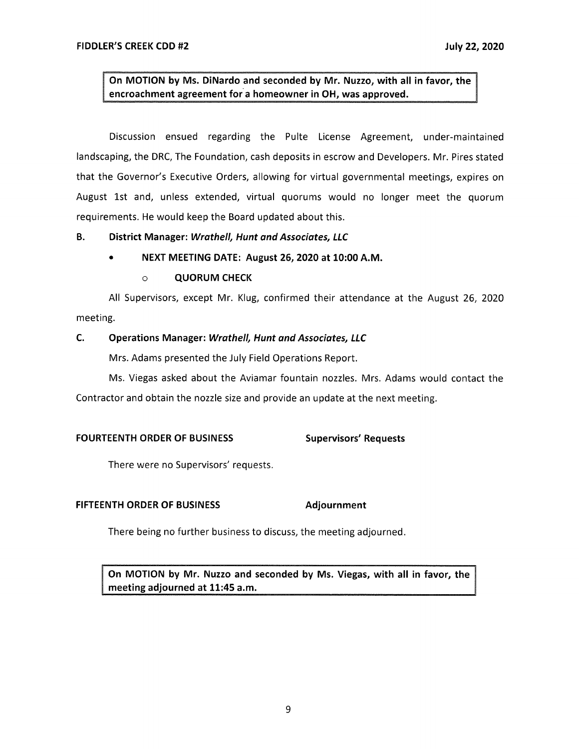**On MOTION by Ms. DiNardo and seconded by Mr. Nuzzo, with all in favor, the encroachment agreement for a homeowner in OH, was approved.** 

Discussion ensued regarding the Pulte License Agreement, under-maintained landscaping, the DRC, The Foundation, cash deposits in escrow and Developers. Mr. Pires stated that the Governor's Executive Orders, allowing for virtual governmental meetings, expires on August 1st and, unless extended, virtual quorums would no longer meet the quorum requirements. He would keep the Board updated about this.

## **B. District Manager: Wrathe/1, Hunt and Associates, LLC**

• **NEXT MEETING DATE: August 26, 2020 at 10:00 A.M.** 

# o **QUORUM CHECK**

All Supervisors, except Mr. Klug, confirmed their attendance at the August 26, 2020 meeting.

# **C. Operations Manager: Wrathe/1, Hunt and Associates, LLC**

Mrs. Adams presented the July Field Operations Report.

Ms. Viegas asked about the Aviamar fountain nozzles. Mrs. Adams would contact the Contractor and obtain the nozzle size and provide an update at the next meeting.

## FOURTEENTH ORDER OF BUSINESS Supervisors' Requests

There were no Supervisors' requests.

## **FIFTEENTH ORDER OF BUSINESS Adjournment**

There being no further business to discuss, the meeting adjourned.

**On MOTION by Mr. Nuzzo and seconded by Ms. Viegas, with all in favor, the meeting adjourned at 11:45 a.m.**